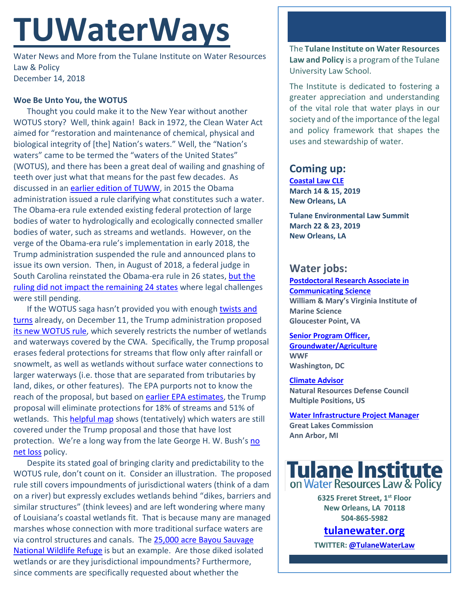# **TUWaterWays**

Water News and More from the Tulane Institute on Water Resources Law & Policy December 14, 2018

## **Woe Be Unto You, the WOTUS**

Thought you could make it to the New Year without another WOTUS story? Well, think again! Back in 1972, the Clean Water Act aimed for "restoration and maintenance of chemical, physical and biological integrity of [the] Nation's waters." Well, the "Nation's waters" came to be termed the "waters of the United States" (WOTUS), and there has been a great deal of wailing and gnashing of teeth over just what that means for the past few decades. As discussed in an [earlier edition of TUWW,](http://docs.wixstatic.com/ugd/32079b_74bfdc6894424d0b8ed045b93930b9fd.pdf) in 2015 the Obama administration issued a rule clarifying what constitutes such a water. The Obama-era rule extended existing federal protection of large bodies of water to hydrologically and ecologically connected smaller bodies of water, such as streams and wetlands. However, on the verge of the Obama-era rule's implementation in early 2018, the Trump administration suspended the rule and announced plans to issue its own version. Then, in August of 2018, a federal judge in South Carolina reinstated the Obama-era rule in 26 states, but the [ruling did not impact the remaining 24 states](https://media.makeameme.org/created/chaos-chaos-everywhere-p3tmcv.jpg) where legal challenges were still pending.

If the WOTUS saga hasn't provided you with enough twists and [turns](https://www.youtube.com/watch?v=h_lcZcBcQ0o) already, on December 11, the Trump administration proposed its [new WOTUS rule,](https://www.epa.gov/sites/production/files/2018-12/documents/wotus_2040-af75_nprm_frn_2018-12-11_prepublication2_1.pdf) which severely restricts the number of wetlands and waterways covered by the CWA. Specifically, the Trump proposal erases federal protections for streams that flow only after rainfall or snowmelt, as well as wetlands without surface water connections to larger waterways (i.e. those that are separated from tributaries by land, dikes, or other features). The EPA purports not to know the reach of the proposal, but based on [earlier EPA estimates,](https://www.eenews.net/assets/2018/12/11/document_gw_05.pdf) the Trump proposal will eliminate protections for 18% of streams and 51% of wetlands. This [helpful map](https://www.instagram.com/p/BrQtwddnUL6/?utm_source=ig_web_button_share_sheet) shows (tentatively) which waters are still covered under the Trump proposal and those that have lost protection. We're a long way from the late George H. W. Bush's no [net loss](https://www.fws.gov/wetlands/Documents%5CBeyond-No-Net-Loss-Imagery-Aids-Wetland-Conservation.pdf) policy.

Despite its stated goal of bringing clarity and predictability to the WOTUS rule, don't count on it. Consider an illustration. The proposed rule still covers impoundments of jurisdictional waters (think of a dam on a river) but expressly excludes wetlands behind "dikes, barriers and similar structures" (think levees) and are left wondering where many of Louisiana's coastal wetlands fit. That is because many are managed marshes whose connection with more traditional surface waters are via control structures and canals. The [25,000 acre Bayou Sauvage](https://www.fws.gov/refuge/bayou_sauvage/)  [National Wildlife Refuge](https://www.fws.gov/refuge/bayou_sauvage/) is but an example. Are those diked isolated wetlands or are they jurisdictional impoundments? Furthermore, since comments are specifically requested about whether the

The **Tulane Institute on Water Resources Law and Policy** is a program of the Tulane University Law School.

The Institute is dedicated to fostering a greater appreciation and understanding of the vital role that water plays in our society and of the importance of the legal and policy framework that shapes the uses and stewardship of water.

## **Coming up:**

**[Coastal Law CLE](https://www.theseminargroup.net/seminardetl.aspx?id=19.shrNO) March 14 & 15, 2019 New Orleans, LA**

**Tulane Environmental Law Summit March 22 & 23, 2019 New Orleans, LA** 

## **Water jobs:**

**[Postdoctoral Research Associate in](https://jobs.wm.edu/postings/34173)  [Communicating Science](https://jobs.wm.edu/postings/34173) William & Mary's Virginia Institute of Marine Science Gloucester Point, VA**

**[Senior Program Officer,](https://careers-wwfus.icims.com/jobs/2211/19053--senior-program-officer%2c-groundwater--agriculture-water/job?mobile=false&width=1000&height=500&bga=true&needsRedirect=false&jan1offset=-360&jun1offset=-300)  [Groundwater/Agriculture](https://careers-wwfus.icims.com/jobs/2211/19053--senior-program-officer%2c-groundwater--agriculture-water/job?mobile=false&width=1000&height=500&bga=true&needsRedirect=false&jan1offset=-360&jun1offset=-300) WWF Washington, DC**

**[Climate Advisor](https://careers-nrdc.icims.com/jobs/search?ss=1&mobile=false&width=970&height=500&bga=true&needsRedirect=false&jan1offset=-360&jun1offset=-300) Natural Resources Defense Council Multiple Positions, US**

**[Water Infrastructure Project Manager](https://www.glc.org/news/position-available-water-infrastructure-20181120) Great Lakes Commission Ann Arbor, MI**



**6325 Freret Street, 1st Floor New Orleans, LA 70118 504-865-5982** 

**tulanewater.org**

**TWITTER[: @TulaneWaterLaw](http://www.twitter.com/TulaneWaterLaw)**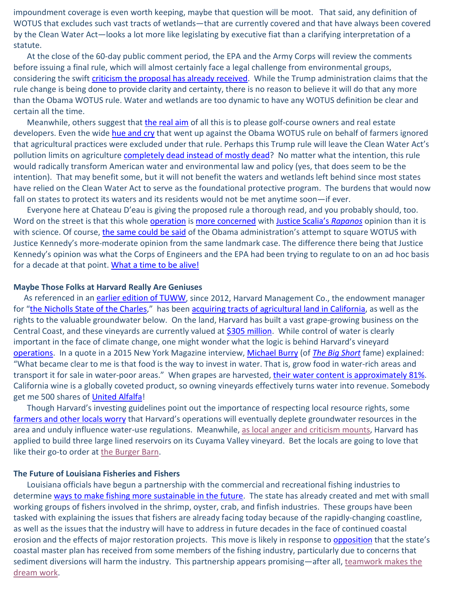impoundment coverage is even worth keeping, maybe that question will be moot. That said, any definition of WOTUS that excludes such vast tracts of wetlands—that are currently covered and that have always been covered by the Clean Water Act—looks a lot more like legislating by executive fiat than a clarifying interpretation of a statute.

At the close of the 60-day public comment period, the EPA and the Army Corps will review the comments before issuing a final rule, which will almost certainly face a legal challenge from environmental groups, considering the swift [criticism the proposal](https://www.thenation.com/article/trump-clean-water-act/) has already received. While the Trump administration claims that the rule change is being done to provide clarity and certainty, there is no reason to believe it will do that any more than the Obama WOTUS rule. Water and wetlands are too dynamic to have any WOTUS definition be clear and certain all the time.

Meanwhile, others suggest that *the real aim* of all this is to please golf-course owners and real estate developers. Even the wide [hue and cry](https://www.youtube.com/watch?v=is76UeuKEoY) that went up against the Obama WOTUS rule on behalf of farmers ignored that agricultural practices were excluded under that rule. Perhaps this Trump rule will leave the Clean Water Act's pollution limits on agriculture **completely dead instead of mostly dead**? No matter what the intention, this rule would radically transform American water and environmental law and policy (yes, that does seem to be the intention). That may benefit some, but it will not benefit the waters and wetlands left behind since most states have relied on the Clean Water Act to serve as the foundational protective program. The burdens that would now fall on states to protect its waters and its residents would not be met anytime soon—if ever.

Everyone here at Chateau D'eau is giving the proposed rule a thorough read, and you probably should, too. Word on the street is that this whole [operation](https://frinkiac.com/video/S04E11/W_mwGtJaHogdS-Zrl_CGAW1CCA8=.gif) is [more concerned](https://www.politico.com/story/2018/12/11/trump-proposes-roll-back-water-protections-1022227) with [Justice Scalia's](https://supreme.justia.com/cases/federal/us/547/715/) *Rapanos* opinion than it is with science. Of course, [the same could be said](https://www.politico.com/agenda/story/2016/05/obama-wotus-wetlands-rule-supreme-court-000131) of the Obama administration's attempt to square WOTUS with Justice Kennedy's more-moderate opinion from the same landmark case. The difference there being that Justice Kennedy's opinion was what the Corps of Engineers and the EPA had been trying to regulate to on an ad hoc basis for a decade at that point. [What a time to be alive!](https://www.youtube.com/watch?v=b9ZFFP1fUXI)

#### **Maybe Those Folks at Harvard Really Are Geniuses**

As referenced in an [earlier edition of TUWW,](http://docs.wixstatic.com/ugd/32079b_6e1c72284fc744c5b80b18ac4e050282.pdf) since 2012, Harvard Management Co., the endowment manager for ["the Nicholls State of](https://www.nola.com/opinions/index.ssf/2017/12/what_nicholls_state_and_harvar.html) the Charles," has been [acquiring tracts of agricultural land](https://www.msn.com/en-us/money/companies/harvard-quietly-amasses-california-vineyards-and-the-water-underneath/ar-BBQMqlo?ocid=spartandhp) in California, as well as the rights to the valuable groundwater below. On the land, Harvard has built a vast grape-growing business on the Central Coast, and these vineyards are currently valued at [\\$305 million.](https://www.youtube.com/watch?v=bRl_sBg6GX8) While control of water is clearly important in the face of climate change, one might wonder what the logic is behind Harvard's vineyard [operations.](https://frinkiac.com/video/S04E11/J0MLHaMucRsGhkJlYKl4JguolXU=.gif) In a quote in a 2015 New York Magazine interview, [Michael Burry](https://en.wikipedia.org/wiki/Michael_Burry) (of *[The Big Short](https://www.youtube.com/watch?v=Cxjdj5_5yNM)* fame) explained: "What became clear to me is that food is the way to invest in water. That is, grow food in water-rich areas and transport it for sale in water-poor areas." When grapes are harvested, [their water content is approximately 81%.](https://blog.bayt.com/wp-content/uploads/2014/09/Water-percentage-in-fruits.png) California wine is a globally coveted product, so owning vineyards effectively turns water into revenue. Somebody get me 500 shares of [United Alfalfa!](https://hayandforage.com/article-1791-hay-exports-hit-record-high.html)

Though Harvard's investing guidelines point out the importance of respecting local resource rights, some [farmers and other locals worry](https://www.mercurynews.com/2018/11/18/harvard-spars-with-neighbors-of-100m-california-vineyard/) that Harvard's operations will eventually deplete groundwater resources in the area and unduly influence water-use regulations. Meanwhile, as local [anger and criticism mounts,](https://www.youtube.com/watch?v=qLvGnro4Cgw) Harvard has applied to build three large lined reservoirs on its Cuyama Valley vineyard. Bet the locals are going to love that like their go-to order at [the Burger Barn.](https://www.google.com/maps/place/Burger+Barn/@34.9481446,-119.6921262,3a,75y,314.7h,84.38t/data=!3m7!1e1!3m5!1sQuexP1VaKIIIMcfvCl1Huw!2e0!6s%2F%2Fgeo0.ggpht.com%2Fcbk%3Fpanoid%3DQuexP1VaKIIIMcfvCl1Huw%26output%3Dthumbnail%26cb_client%3Dsearch.TACTILE.gps%26thumb%3D2%26w%3D234%26h%3D106%26yaw%3D302.06436%26pitch%3D0%26thumbfov%3D100!7i13312!8i6656!4m15!1m9!2m8!1srestaurants!3m6!1srestaurants!2sCuyama,+CA+93254!3s0x80ebda862a7ecf99:0x36ae1152644adf4e!4m2!1d-119.6151279!2d34.9352536!3m4!1s0x0:0x13274e00df1d3128!8m2!3d34.948252!4d-119.6922898)

#### **The Future of Louisiana Fisheries and Fishers**

Louisiana officials have begun a partnership with the commercial and recreational fishing industries to determine [ways to make fishing more sustainable in the future.](https://www.nola.com/environment/2018/12/state-begins-coast-wide-effort-to-sustain-fisheries-hit-by-wetland-erosion-restoration-projects.html) The state has already created and met with small working groups of fishers involved in the shrimp, oyster, crab, and finfish industries. These groups have been tasked with explaining the issues that fishers are already facing today because of the rapidly-changing coastline, as well as the issues that the industry will have to address in future decades in the face of continued coastal erosion and the effects of major restoration projects. This move is likely in response t[o opposition](https://www.theadvocate.com/new_orleans/news/environment/article_b4f3c592-5d3f-11e8-b286-0fb5aa7c854d.html) that the state's coastal master plan has received from some members of the fishing industry, particularly due to concerns that sediment diversions will harm the industry. This partnership appears promising—after all, [teamwork makes the](https://dailylolpics.com/wp-content/uploads/2017/08/Teamwork-makes-the-dream-work.jpg)  [dream work.](https://dailylolpics.com/wp-content/uploads/2017/08/Teamwork-makes-the-dream-work.jpg)